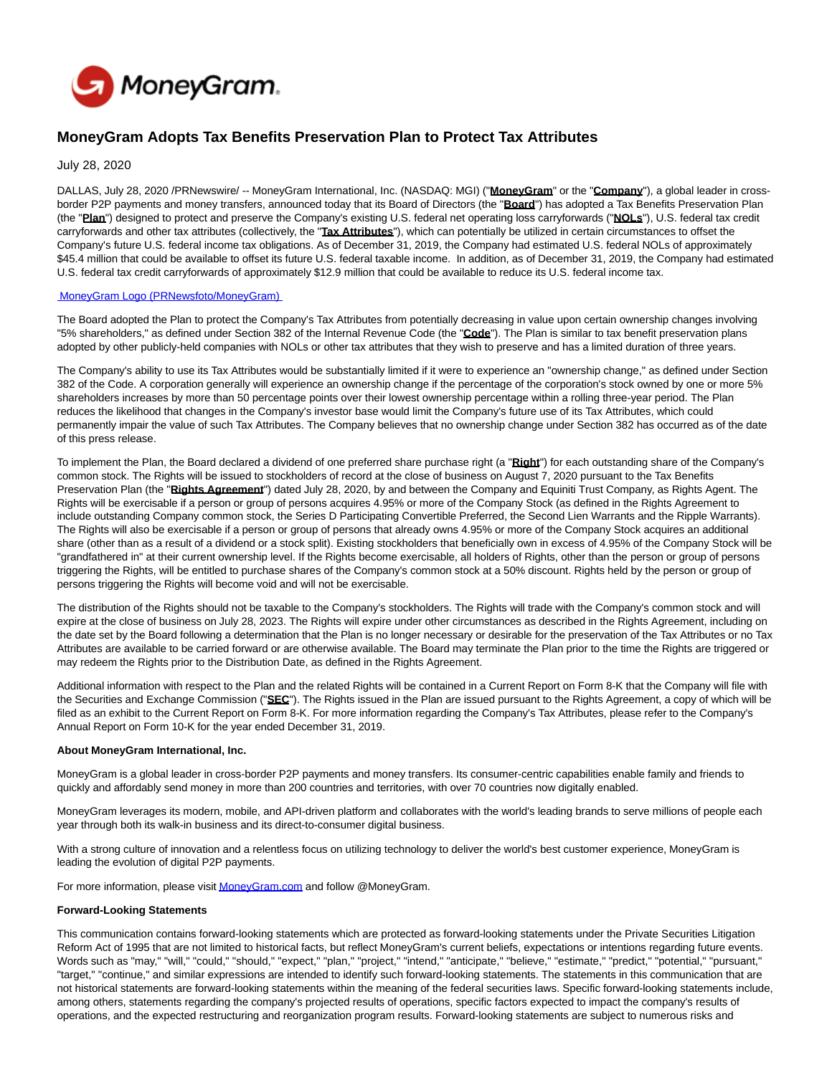

## **MoneyGram Adopts Tax Benefits Preservation Plan to Protect Tax Attributes**

July 28, 2020

DALLAS, July 28, 2020 /PRNewswire/ -- MoneyGram International, Inc. (NASDAQ: MGI) ("**MoneyGram**" or the "**Company**"), a global leader in crossborder P2P payments and money transfers, announced today that its Board of Directors (the "**Board**") has adopted a Tax Benefits Preservation Plan (the "**Plan**") designed to protect and preserve the Company's existing U.S. federal net operating loss carryforwards ("**NOLs**"), U.S. federal tax credit carryforwards and other tax attributes (collectively, the "**Tax Attributes**"), which can potentially be utilized in certain circumstances to offset the Company's future U.S. federal income tax obligations. As of December 31, 2019, the Company had estimated U.S. federal NOLs of approximately \$45.4 million that could be available to offset its future U.S. federal taxable income. In addition, as of December 31, 2019, the Company had estimated U.S. federal tax credit carryforwards of approximately \$12.9 million that could be available to reduce its U.S. federal income tax.

## [MoneyGram Logo \(PRNewsfoto/MoneyGram\)](https://mma.prnewswire.com/media/600838/MoneyGram_International_Logo.html)

The Board adopted the Plan to protect the Company's Tax Attributes from potentially decreasing in value upon certain ownership changes involving "5% shareholders," as defined under Section 382 of the Internal Revenue Code (the "**Code**"). The Plan is similar to tax benefit preservation plans adopted by other publicly-held companies with NOLs or other tax attributes that they wish to preserve and has a limited duration of three years.

The Company's ability to use its Tax Attributes would be substantially limited if it were to experience an "ownership change," as defined under Section 382 of the Code. A corporation generally will experience an ownership change if the percentage of the corporation's stock owned by one or more 5% shareholders increases by more than 50 percentage points over their lowest ownership percentage within a rolling three-year period. The Plan reduces the likelihood that changes in the Company's investor base would limit the Company's future use of its Tax Attributes, which could permanently impair the value of such Tax Attributes. The Company believes that no ownership change under Section 382 has occurred as of the date of this press release.

To implement the Plan, the Board declared a dividend of one preferred share purchase right (a "**Right**") for each outstanding share of the Company's common stock. The Rights will be issued to stockholders of record at the close of business on August 7, 2020 pursuant to the Tax Benefits Preservation Plan (the "**Rights Agreement**") dated July 28, 2020, by and between the Company and Equiniti Trust Company, as Rights Agent. The Rights will be exercisable if a person or group of persons acquires 4.95% or more of the Company Stock (as defined in the Rights Agreement to include outstanding Company common stock, the Series D Participating Convertible Preferred, the Second Lien Warrants and the Ripple Warrants). The Rights will also be exercisable if a person or group of persons that already owns 4.95% or more of the Company Stock acquires an additional share (other than as a result of a dividend or a stock split). Existing stockholders that beneficially own in excess of 4.95% of the Company Stock will be "grandfathered in" at their current ownership level. If the Rights become exercisable, all holders of Rights, other than the person or group of persons triggering the Rights, will be entitled to purchase shares of the Company's common stock at a 50% discount. Rights held by the person or group of persons triggering the Rights will become void and will not be exercisable.

The distribution of the Rights should not be taxable to the Company's stockholders. The Rights will trade with the Company's common stock and will expire at the close of business on July 28, 2023. The Rights will expire under other circumstances as described in the Rights Agreement, including on the date set by the Board following a determination that the Plan is no longer necessary or desirable for the preservation of the Tax Attributes or no Tax Attributes are available to be carried forward or are otherwise available. The Board may terminate the Plan prior to the time the Rights are triggered or may redeem the Rights prior to the Distribution Date, as defined in the Rights Agreement.

Additional information with respect to the Plan and the related Rights will be contained in a Current Report on Form 8-K that the Company will file with the Securities and Exchange Commission ("**SEC**"). The Rights issued in the Plan are issued pursuant to the Rights Agreement, a copy of which will be filed as an exhibit to the Current Report on Form 8-K. For more information regarding the Company's Tax Attributes, please refer to the Company's Annual Report on Form 10-K for the year ended December 31, 2019.

## **About MoneyGram International, Inc.**

MoneyGram is a global leader in cross-border P2P payments and money transfers. Its consumer-centric capabilities enable family and friends to quickly and affordably send money in more than 200 countries and territories, with over 70 countries now digitally enabled.

MoneyGram leverages its modern, mobile, and API-driven platform and collaborates with the world's leading brands to serve millions of people each year through both its walk-in business and its direct-to-consumer digital business.

With a strong culture of innovation and a relentless focus on utilizing technology to deliver the world's best customer experience, MoneyGram is leading the evolution of digital P2P payments.

For more information, please visi[t MoneyGram.com a](http://moneygram.com/)nd follow @MoneyGram.

## **Forward-Looking Statements**

This communication contains forward-looking statements which are protected as forward-looking statements under the Private Securities Litigation Reform Act of 1995 that are not limited to historical facts, but reflect MoneyGram's current beliefs, expectations or intentions regarding future events. Words such as "may," "will," "could," "should," "expect," "plan," "project," "intend," "anticipate," "believe," "estimate," "predict," "potential," "pursuant," "target," "continue," and similar expressions are intended to identify such forward-looking statements. The statements in this communication that are not historical statements are forward-looking statements within the meaning of the federal securities laws. Specific forward-looking statements include, among others, statements regarding the company's projected results of operations, specific factors expected to impact the company's results of operations, and the expected restructuring and reorganization program results. Forward-looking statements are subject to numerous risks and